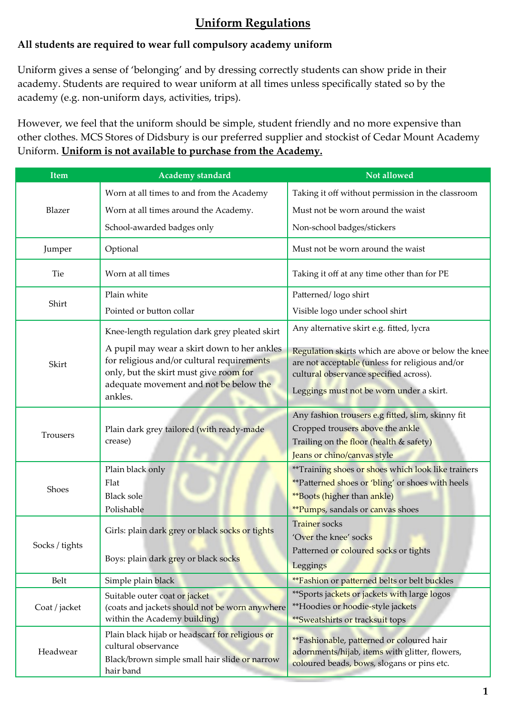# **Uniform Regulations**

## **All students are required to wear full compulsory academy uniform**

Uniform gives a sense of 'belonging' and by dressing correctly students can show pride in their academy. Students are required to wear uniform at all times unless specifically stated so by the academy (e.g. non-uniform days, activities, trips).

However, we feel that the uniform should be simple, student friendly and no more expensive than other clothes. MCS Stores of Didsbury is our preferred supplier and stockist of Cedar Mount Academy Uniform. **Uniform is not available to purchase from the Academy.** 

| Item           | <b>Academy standard</b>                                                                                                                                                                  | Not allowed                                                                                                                                                                                  |  |
|----------------|------------------------------------------------------------------------------------------------------------------------------------------------------------------------------------------|----------------------------------------------------------------------------------------------------------------------------------------------------------------------------------------------|--|
| Blazer         | Worn at all times to and from the Academy                                                                                                                                                | Taking it off without permission in the classroom                                                                                                                                            |  |
|                | Worn at all times around the Academy.                                                                                                                                                    | Must not be worn around the waist                                                                                                                                                            |  |
|                | School-awarded badges only                                                                                                                                                               | Non-school badges/stickers                                                                                                                                                                   |  |
| Jumper         | Optional                                                                                                                                                                                 | Must not be worn around the waist                                                                                                                                                            |  |
| Tie            | Worn at all times                                                                                                                                                                        | Taking it off at any time other than for PE                                                                                                                                                  |  |
| Shirt          | Plain white                                                                                                                                                                              | Patterned/logo shirt                                                                                                                                                                         |  |
|                | Pointed or button collar                                                                                                                                                                 | Visible logo under school shirt                                                                                                                                                              |  |
|                | Knee-length regulation dark grey pleated skirt                                                                                                                                           | Any alternative skirt e.g. fitted, lycra                                                                                                                                                     |  |
| Skirt          | A pupil may wear a skirt down to her ankles<br>for religious and/or cultural requirements<br>only, but the skirt must give room for<br>adequate movement and not be below the<br>ankles. | Regulation skirts which are above or below the knee<br>are not acceptable (unless for religious and/or<br>cultural observance specified across).<br>Leggings must not be worn under a skirt. |  |
| Trousers       | Plain dark grey tailored (with ready-made<br>crease)                                                                                                                                     | Any fashion trousers e.g fitted, slim, skinny fit<br>Cropped trousers above the ankle<br>Trailing on the floor (health & safety)<br>Jeans or chino/canvas style                              |  |
| Shoes          | Plain black only<br>Flat<br><b>Black sole</b><br>Polishable                                                                                                                              | **Training shoes or shoes which look like trainers<br>** Patterned shoes or 'bling' or shoes with heels<br><b>**Boots (higher than ankle)</b><br><b>**Pumps</b> , sandals or canvas shoes    |  |
| Socks / tights | Girls: plain dark grey or black socks or tights<br>Boys: plain dark grey or black socks                                                                                                  | <b>Trainer</b> socks<br>'Over the knee' socks<br>Patterned or coloured socks or tights<br>Leggings                                                                                           |  |
| Belt           | Simple plain black                                                                                                                                                                       | <i>**Fashion or patterned belts or belt buckles</i>                                                                                                                                          |  |
| Coat / jacket  | Suitable outer coat or jacket<br>(coats and jackets should not be worn anywhere<br>within the Academy building)                                                                          | **Sports jackets or jackets with large logos<br>**Hoodies or hoodie-style jackets<br>**Sweatshirts or tracksuit tops                                                                         |  |
| Headwear       | Plain black hijab or headscarf for religious or<br>cultural observance<br>Black/brown simple small hair slide or narrow<br>hair band                                                     | **Fashionable, patterned or coloured hair<br>adornments/hijab, items with glitter, flowers,<br>coloured beads, bows, slogans or pins etc.                                                    |  |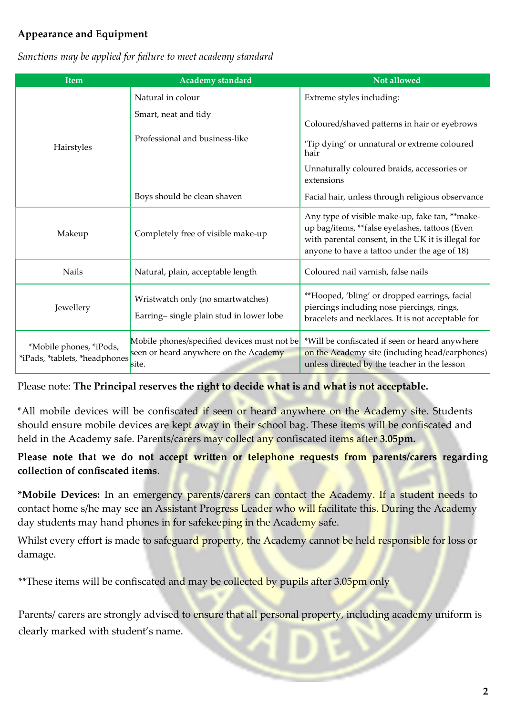## **Appearance and Equipment**

| <b>Item</b>                                              | <b>Academy</b> standard                                                                       | Not allowed                                                                                                                                                                                             |  |
|----------------------------------------------------------|-----------------------------------------------------------------------------------------------|---------------------------------------------------------------------------------------------------------------------------------------------------------------------------------------------------------|--|
|                                                          | Natural in colour                                                                             | Extreme styles including:                                                                                                                                                                               |  |
|                                                          | Smart, neat and tidy                                                                          | Coloured/shaved patterns in hair or eyebrows                                                                                                                                                            |  |
| Hairstyles                                               | Professional and business-like                                                                | 'Tip dying' or unnatural or extreme coloured<br>hair                                                                                                                                                    |  |
|                                                          |                                                                                               | Unnaturally coloured braids, accessories or<br>extensions                                                                                                                                               |  |
|                                                          | Boys should be clean shaven                                                                   | Facial hair, unless through religious observance                                                                                                                                                        |  |
| Completely free of visible make-up<br>Makeup             |                                                                                               | Any type of visible make-up, fake tan, ** make-<br>up bag/items, **false eyelashes, tattoos (Even<br>with parental consent, in the UK it is illegal for<br>anyone to have a tattoo under the age of 18) |  |
| <b>Nails</b>                                             | Natural, plain, acceptable length                                                             | Coloured nail varnish, false nails                                                                                                                                                                      |  |
| Jewellery                                                | Wristwatch only (no smartwatches)<br>Earring-single plain stud in lower lobe                  | **Hooped, 'bling' or dropped earrings, facial<br>piercings including nose piercings, rings,<br>bracelets and necklaces. It is not acceptable for                                                        |  |
| *Mobile phones, *iPods,<br>*iPads, *tablets, *headphones | Mobile phones/specified devices must not be<br>seen or heard anywhere on the Academy<br>site. | *Will be confiscated if seen or heard anywhere<br>on the Academy site (including head/earphones)<br>unless directed by the teacher in the lesson                                                        |  |

*Sanctions may be applied for failure to meet academy standard*

#### Please note: **The Principal reserves the right to decide what is and what is not acceptable.**

\*All mobile devices will be confiscated if seen or heard anywhere on the Academy site. Students should ensure mobile devices are kept away in their school bag. These items will be confiscated and held in the Academy safe. Parents/carers may collect any confiscated items after **3.05pm.**

#### **Please note that we do not accept written or telephone requests from parents/carers regarding collection of confiscated items**.

**\*Mobile Devices:** In an emergency parents/carers can contact the Academy. If a student needs to contact home s/he may see an Assistant Progress Leader who will facilitate this. During the Academy day students may hand phones in for safekeeping in the Academy safe.

Whilst every effort is made to safeguard property, the Academy cannot be held responsible for loss or damage.

\*\*These items will be confiscated and may be collected by pupils after 3.05pm only

Parents/ carers are strongly advised to ensure that all personal property, including academy uniform is clearly marked with student's name.